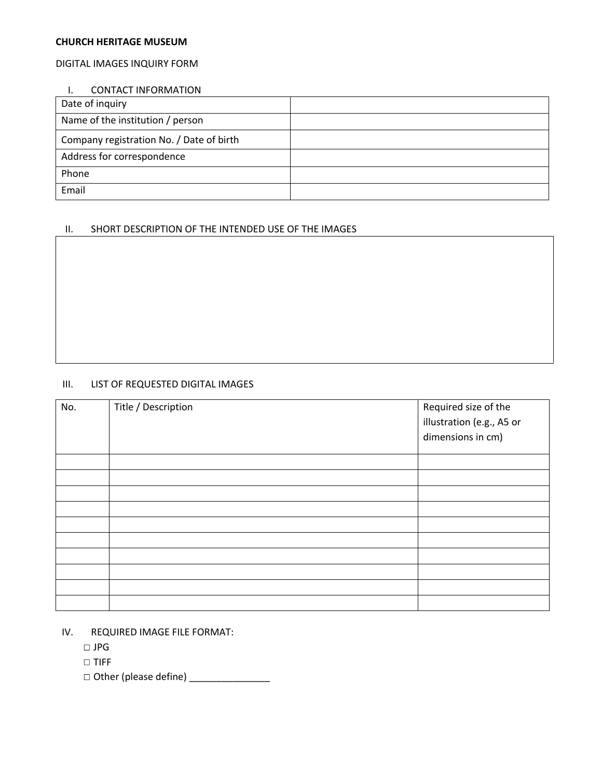#### **CHURCH HERITAGE MUSEUM**

# DIGITAL IMAGES INQUIRY FORM

# I. CONTACT INFORMATION

| Date of inquiry                          |  |
|------------------------------------------|--|
| Name of the institution / person         |  |
| Company registration No. / Date of birth |  |
| Address for correspondence               |  |
| Phone                                    |  |
| Email                                    |  |

# II. SHORT DESCRIPTION OF THE INTENDED USE OF THE IMAGES

# III. LIST OF REQUESTED DIGITAL IMAGES

| No. | Title / Description | Required size of the<br>illustration (e.g., A5 or<br>dimensions in cm) |
|-----|---------------------|------------------------------------------------------------------------|
|     |                     |                                                                        |
|     |                     |                                                                        |
|     |                     |                                                                        |
|     |                     |                                                                        |
|     |                     |                                                                        |
|     |                     |                                                                        |
|     |                     |                                                                        |
|     |                     |                                                                        |
|     |                     |                                                                        |
|     |                     |                                                                        |

- IV. REQUIRED IMAGE FILE FORMAT:
	- JPG
	- TIFF
	- Other (please define) \_\_\_\_\_\_\_\_\_\_\_\_\_\_\_